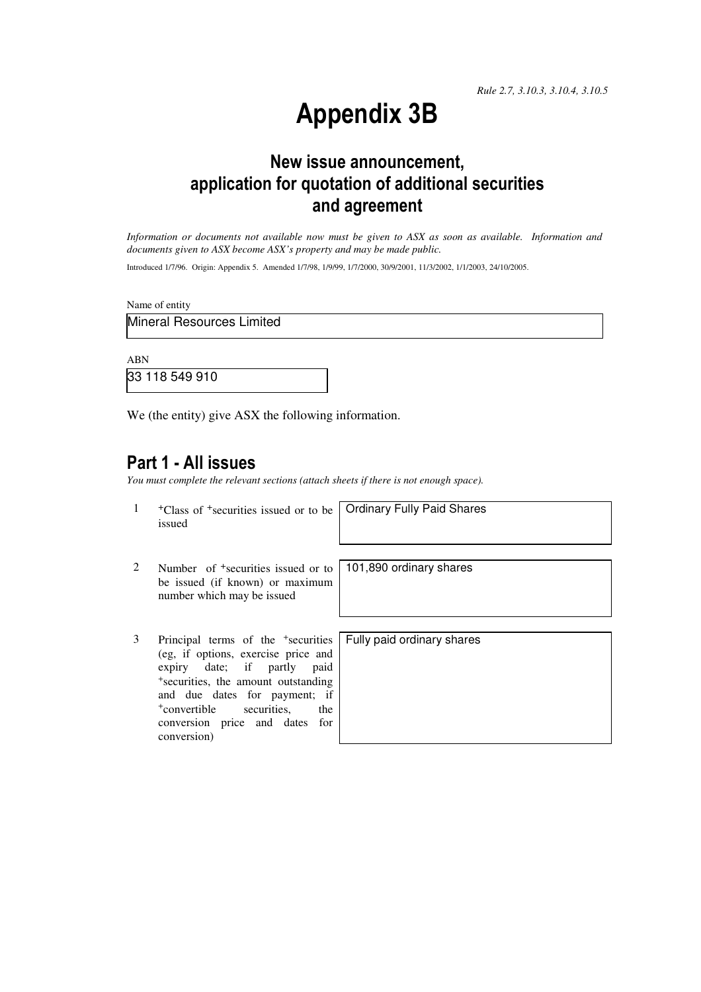*Rule 2.7, 3.10.3, 3.10.4, 3.10.5*

# Appendix 3B

## New issue announcement, application for quotation of additional securities and agreement

*Information or documents not available now must be given to ASX as soon as available. Information and documents given to ASX become ASX's property and may be made public.* 

Introduced 1/7/96. Origin: Appendix 5. Amended 1/7/98, 1/9/99, 1/7/2000, 30/9/2001, 11/3/2002, 1/1/2003, 24/10/2005.

Name of entity

Mineral Resources Limited

ABN

33 118 549 910

We (the entity) give ASX the following information.

## Part 1 - All issues

*You must complete the relevant sections (attach sheets if there is not enough space).*

1 +Class of +securities issued or to be issued

Ordinary Fully Paid Shares

- 2 Number of +securities issued or to be issued (if known) or maximum number which may be issued
- 3 Principal terms of the <sup>+</sup>securities (eg, if options, exercise price and expiry date; if partly paid <sup>+</sup>securities, the amount outstanding and due dates for payment; if <sup>+</sup>convertible securities, the conversion price and dates for conversion)

101,890 ordinary shares

Fully paid ordinary shares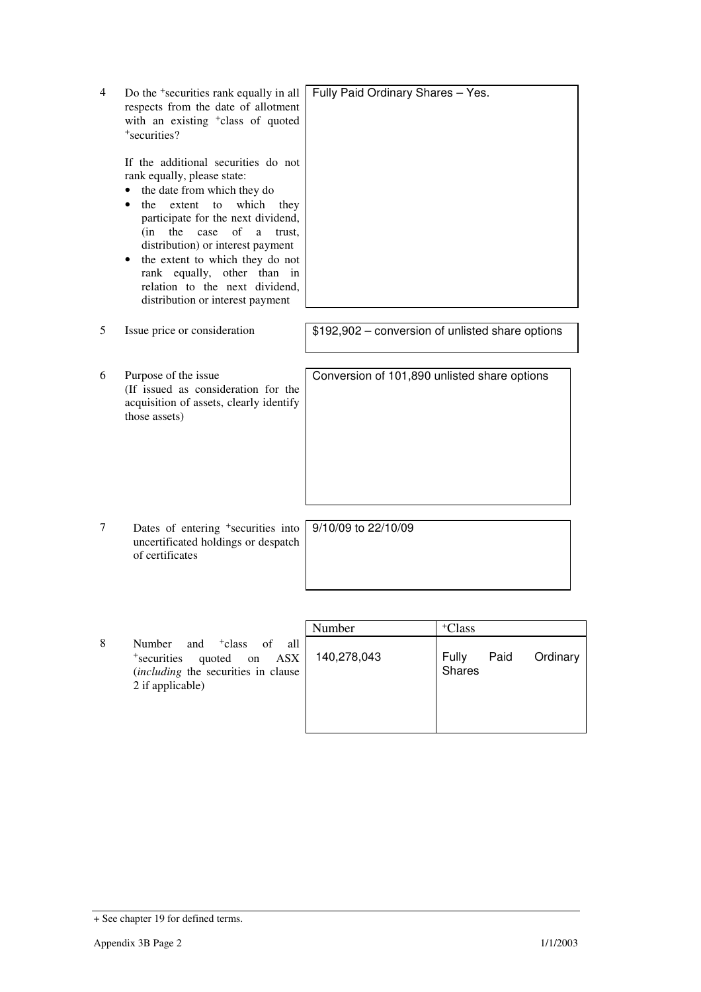| 4 | Do the <sup>+</sup> securities rank equally in all<br>respects from the date of allotment<br>with an existing <sup>+</sup> class of quoted<br>+securities?                                                                                                                                                                                                                                           | Fully Paid Ordinary Shares - Yes.                |
|---|------------------------------------------------------------------------------------------------------------------------------------------------------------------------------------------------------------------------------------------------------------------------------------------------------------------------------------------------------------------------------------------------------|--------------------------------------------------|
|   | If the additional securities do not<br>rank equally, please state:<br>the date from which they do<br>extent to<br>which<br>the<br>they<br>participate for the next dividend,<br>(in<br>the<br>case<br>of<br>a<br>trust,<br>distribution) or interest payment<br>the extent to which they do not<br>rank equally, other than in<br>relation to the next dividend,<br>distribution or interest payment |                                                  |
| 5 | Issue price or consideration                                                                                                                                                                                                                                                                                                                                                                         | \$192,902 - conversion of unlisted share options |
| 6 | Purpose of the issue<br>(If issued as consideration for the<br>acquisition of assets, clearly identify<br>those assets)                                                                                                                                                                                                                                                                              | Conversion of 101,890 unlisted share options     |
| 7 | Dates of entering <sup>+</sup> securities into<br>uncertificated holdings or despatch<br>of certificates                                                                                                                                                                                                                                                                                             | 9/10/09 to 22/10/09                              |
|   |                                                                                                                                                                                                                                                                                                                                                                                                      |                                                  |
|   |                                                                                                                                                                                                                                                                                                                                                                                                      | $\mathbf{N}$<br>$+\sqrt{1}$ .<br>$-1$            |

|                                                                                                                                                                              | Number      | <sup>+</sup> Class                  |
|------------------------------------------------------------------------------------------------------------------------------------------------------------------------------|-------------|-------------------------------------|
| 8<br>and <sup>+</sup> class<br>all<br>Number<br>of<br>$\overline{ASX}$<br>quoted<br><sup>+</sup> securities<br>on<br>(including the securities in clause<br>2 if applicable) | 140,278,043 | Paid<br>Fully<br>Ordinary<br>Shares |

<sup>+</sup> See chapter 19 for defined terms.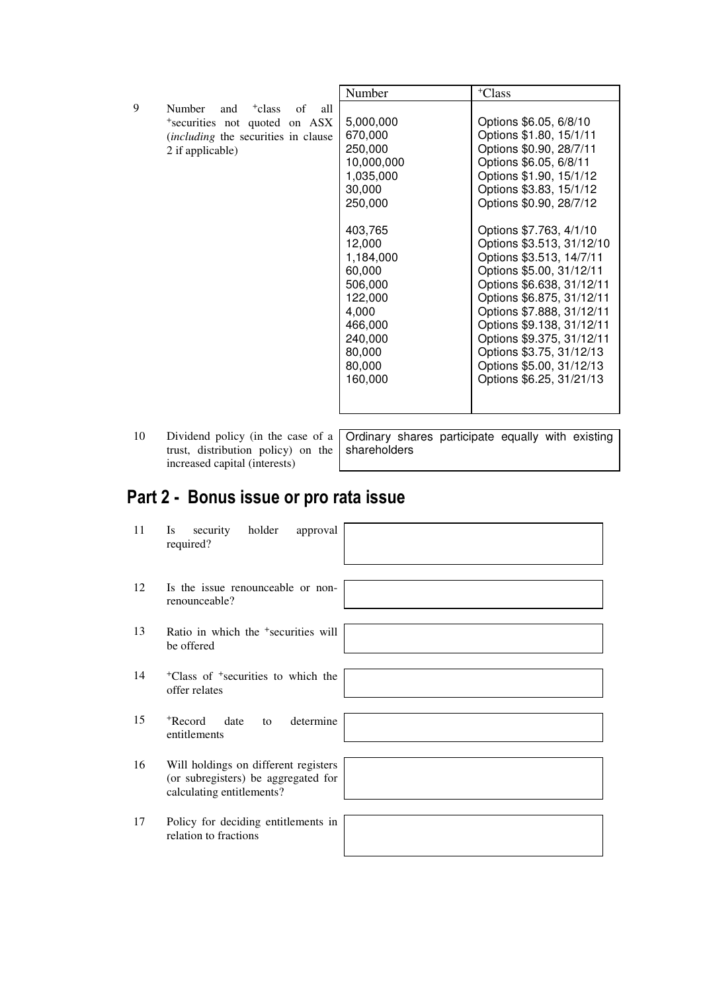|   |                                                                                                                                                   | Number                                                                                                                                                                                                          | <sup>+</sup> Class                                                                                                                                                                                                                                                                                                                                                                                                                                                                                                                           |
|---|---------------------------------------------------------------------------------------------------------------------------------------------------|-----------------------------------------------------------------------------------------------------------------------------------------------------------------------------------------------------------------|----------------------------------------------------------------------------------------------------------------------------------------------------------------------------------------------------------------------------------------------------------------------------------------------------------------------------------------------------------------------------------------------------------------------------------------------------------------------------------------------------------------------------------------------|
| 9 | Number<br>and <sup>+</sup> class<br>of<br>all<br>*securities not quoted on ASX<br><i>(including the securities in clause)</i><br>2 if applicable) | 5,000,000<br>670,000<br>250,000<br>10,000,000<br>1,035,000<br>30,000<br>250,000<br>403,765<br>12,000<br>1,184,000<br>60,000<br>506,000<br>122,000<br>4,000<br>466,000<br>240,000<br>80,000<br>80,000<br>160,000 | Options \$6.05, 6/8/10<br>Options \$1.80, 15/1/11<br>Options \$0.90, 28/7/11<br>Options \$6.05, 6/8/11<br>Options \$1.90, 15/1/12<br>Options \$3.83, 15/1/12<br>Options \$0.90, 28/7/12<br>Options \$7.763, 4/1/10<br>Options \$3.513, 31/12/10<br>Options \$3.513, 14/7/11<br>Options \$5.00, 31/12/11<br>Options \$6.638, 31/12/11<br>Options \$6.875, 31/12/11<br>Options \$7.888, 31/12/11<br>Options \$9.138, 31/12/11<br>Options \$9.375, 31/12/11<br>Options \$3.75, 31/12/13<br>Options \$5.00, 31/12/13<br>Options \$6.25, 31/21/13 |
|   |                                                                                                                                                   |                                                                                                                                                                                                                 |                                                                                                                                                                                                                                                                                                                                                                                                                                                                                                                                              |

10 Dividend policy (in the case of a trust, distribution policy) on the increased capital (interests)

Ordinary shares participate equally with existing shareholders

# Part 2 - Bonus issue or pro rata issue

| 11 | holder<br>Is<br>security<br>approval<br>required?                                                        |  |
|----|----------------------------------------------------------------------------------------------------------|--|
| 12 | Is the issue renounceable or non-<br>renounceable?                                                       |  |
| 13 | Ratio in which the <sup>+</sup> securities will<br>be offered                                            |  |
| 14 | <sup>+</sup> Class of <sup>+</sup> securities to which the<br>offer relates                              |  |
| 15 | <sup>+</sup> Record<br>determine<br>date<br>to<br>entitlements                                           |  |
| 16 | Will holdings on different registers<br>(or subregisters) be aggregated for<br>calculating entitlements? |  |
| 17 | Policy for deciding entitlements in<br>relation to fractions                                             |  |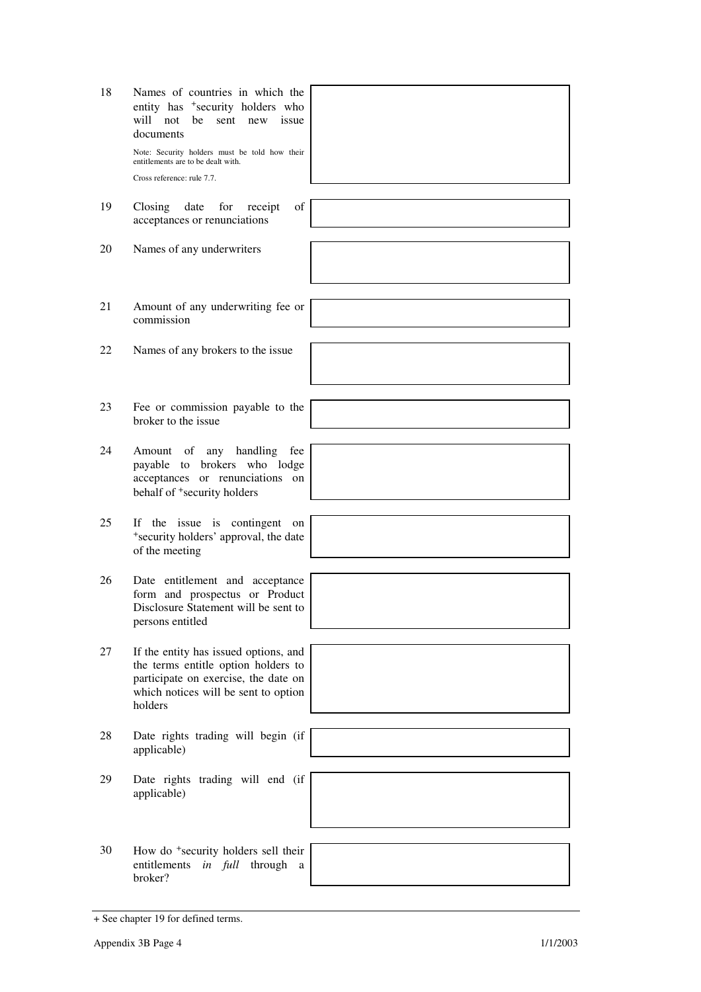| 18 | Names of countries in which the<br>entity has <sup>+</sup> security holders who<br>will not<br>be sent new issue<br>documents<br>Note: Security holders must be told how their<br>entitlements are to be dealt with.<br>Cross reference: rule 7.7. |  |
|----|----------------------------------------------------------------------------------------------------------------------------------------------------------------------------------------------------------------------------------------------------|--|
| 19 | date<br>of<br>Closing<br>for receipt<br>acceptances or renunciations                                                                                                                                                                               |  |
| 20 | Names of any underwriters                                                                                                                                                                                                                          |  |
| 21 | Amount of any underwriting fee or<br>commission                                                                                                                                                                                                    |  |
| 22 | Names of any brokers to the issue                                                                                                                                                                                                                  |  |
| 23 | Fee or commission payable to the<br>broker to the issue                                                                                                                                                                                            |  |
| 24 | Amount of any handling<br>fee<br>payable to brokers who lodge<br>acceptances or renunciations on<br>behalf of <sup>+</sup> security holders                                                                                                        |  |
| 25 | If the issue is contingent<br>on<br>*security holders' approval, the date<br>of the meeting                                                                                                                                                        |  |
| 26 | Date entitlement and acceptance<br>form and prospectus or Product<br>Disclosure Statement will be sent to<br>persons entitled                                                                                                                      |  |
| 27 | If the entity has issued options, and<br>the terms entitle option holders to<br>participate on exercise, the date on<br>which notices will be sent to option<br>holders                                                                            |  |
| 28 | Date rights trading will begin (if<br>applicable)                                                                                                                                                                                                  |  |
| 29 | Date rights trading will end (if<br>applicable)                                                                                                                                                                                                    |  |
|    |                                                                                                                                                                                                                                                    |  |
| 30 | How do <sup>+</sup> security holders sell their<br>entitlements<br>in full<br>through<br>a<br>broker?                                                                                                                                              |  |

<sup>+</sup> See chapter 19 for defined terms.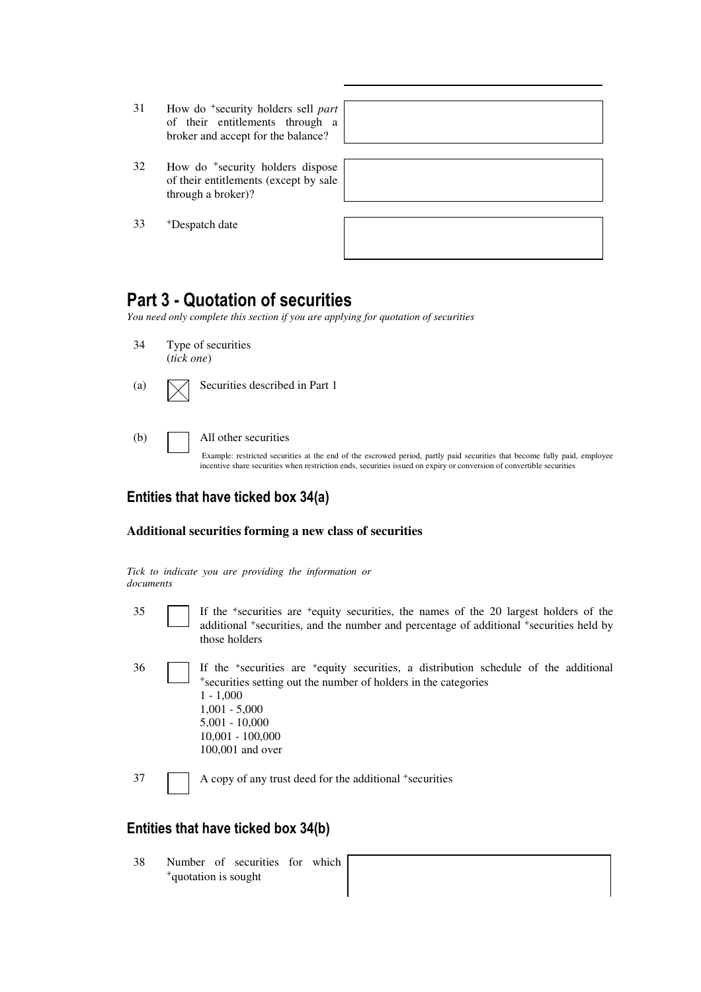- 31 How do <sup>+</sup>security holders sell *part* of their entitlements through a broker and accept for the balance?
- 32 How do <sup>+</sup>security holders dispose of their entitlements (except by sale through a broker)?

33 <sup>+</sup>Despatch date

| ,我们也不会有什么?""我们的人,我们也不会有什么?""我们的人,我们也不会有什么?""我们的人,我们也不会有什么?""我们的人,我们也不会有什么?""我们的人 |  |  |
|----------------------------------------------------------------------------------|--|--|
|                                                                                  |  |  |
|                                                                                  |  |  |
|                                                                                  |  |  |
|                                                                                  |  |  |

## Part 3 - Quotation of securities

*You need only complete this section if you are applying for quotation of securities* 

- 34 Type of securities (*tick one*)
- (a)  $\Box$  Securities described in Part 1
- (b) All other securities

Example: restricted securities at the end of the escrowed period, partly paid securities that become fully paid, employee incentive share securities when restriction ends, securities issued on expiry or conversion of convertible securities

## Entities that have ticked box 34(a)

#### **Additional securities forming a new class of securities**

|           |  |  |  | Tick to indicate you are providing the information or |  |
|-----------|--|--|--|-------------------------------------------------------|--|
| documents |  |  |  |                                                       |  |

- 
- 35 If the <sup>+</sup> securities are <sup>+</sup>equity securities, the names of the 20 largest holders of the additional <sup>+</sup>securities, and the number and percentage of additional <sup>+</sup>securities held by those holders
- 36 If the <sup>+</sup> securities are <sup>+</sup>equity securities, a distribution schedule of the additional <sup>+</sup>securities setting out the number of holders in the categories 1 - 1,000 1,001 - 5,000 5,001 - 10,000 10,001 - 100,000 100,001 and over

37 A copy of any trust deed for the additional <sup>+</sup>securities

### Entities that have ticked box 34(b)

38 Number of securities for which <sup>+</sup>quotation is sought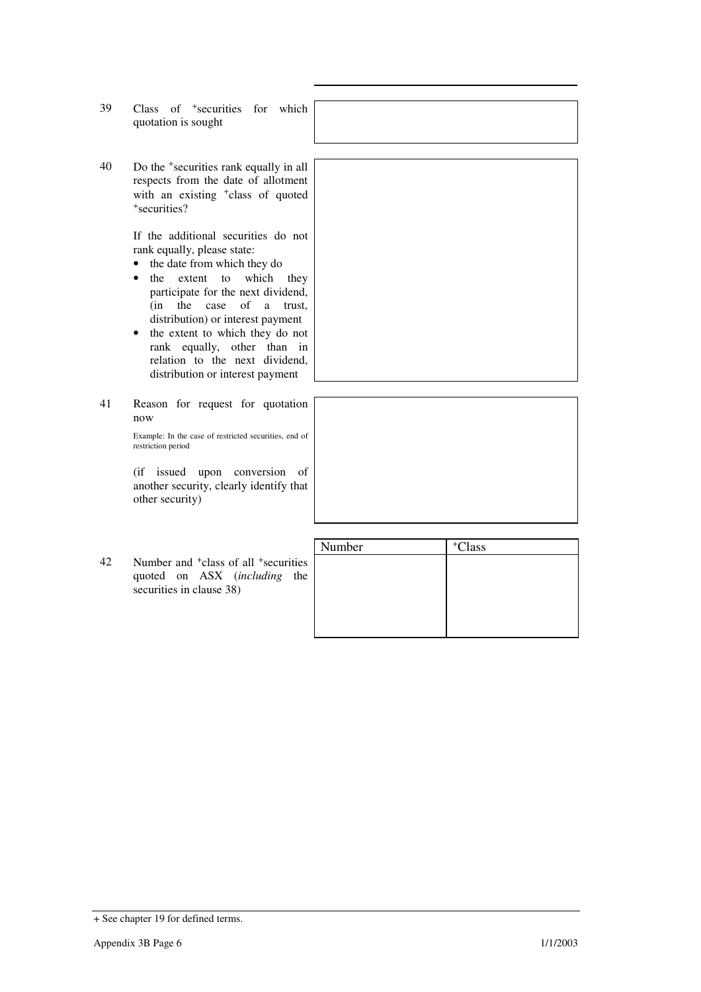- 39 Class of <sup>+</sup>securities for which quotation is sought
- 40 Do the <sup>+</sup>securities rank equally in all respects from the date of allotment with an existing <sup>+</sup>class of quoted <sup>+</sup>securities?

If the additional securities do not rank equally, please state:

- the date from which they do
- the extent to which they participate for the next dividend, (in the case of a trust, distribution) or interest payment
- the extent to which they do not rank equally, other than in relation to the next dividend, distribution or interest payment
- 41 Reason for request for quotation now

Example: In the case of restricted securities, end of restriction period

(if issued upon conversion of another security, clearly identify that other security)

42 Number and <sup>+</sup>class of all <sup>+</sup>securities quoted on ASX (*including* the securities in clause 38)



<sup>+</sup> See chapter 19 for defined terms.